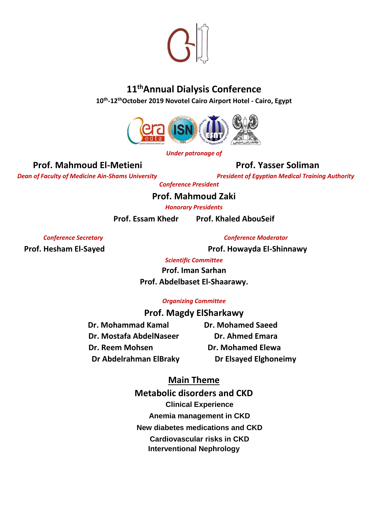

## **11 thAnnual Dialysis Conference**

**10 th -12thOctober 2019 Novotel Cairo Airport Hotel - Cairo, Egypt** 



#### *Under patronage of*

### **Prof. Mahmoud El-Metieni Prof. Yasser Soliman**

*Dean of Faculty of Medicine Ain-Shams University <b>President of Egyptian Medical Training Authority President of Egyptian Medical Training Authority* 

*Conference President* 

**Prof. Mahmoud Zaki** 

*Honorary Presidents* 

**Prof. Essam Khedr Prof. Khaled AbouSeif** 

*Conference Secretary Conference Moderator*

**Prof. Hesham El-Sayed Prof. Howayda El-Shinnawy**

*Scientific Committee*

**Prof. Iman Sarhan Prof. Abdelbaset El-Shaarawy.**

#### *Organizing Committee*

#### **Prof. Magdy ElSharkawy**

**Dr. Mohammad Kamal Came Dr. Mohamed Saeed Dr. Mostafa AbdelNaseer Dr. Ahmed Emara Dr. Reem Mohsen Carry Communist Dr. Mohamed Elewa Dr Abdelrahman ElBraky Dr Elsayed Elghoneimy** 

### **Main Theme**

**Metabolic disorders and CKD Clinical Experience Anemia management in CKD New diabetes medications and CKD Cardiovascular risks in CKD Interventional Nephrology**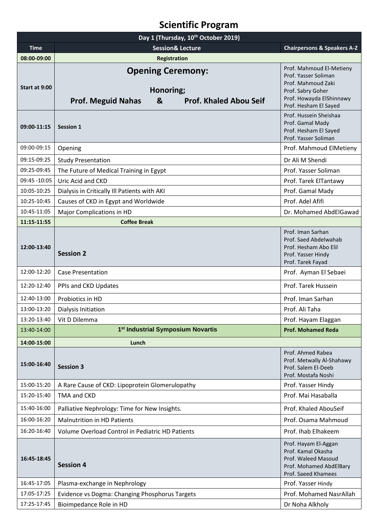# **Scientific Program**

| Day 1 (Thursday, 10 <sup>th</sup> October 2019) |                                                                                                          |                                                                                                                                                  |  |  |
|-------------------------------------------------|----------------------------------------------------------------------------------------------------------|--------------------------------------------------------------------------------------------------------------------------------------------------|--|--|
| <b>Time</b>                                     | <b>Session&amp; Lecture</b>                                                                              | <b>Chairpersons &amp; Speakers A-Z</b>                                                                                                           |  |  |
| 08:00-09:00                                     | <b>Registration</b>                                                                                      |                                                                                                                                                  |  |  |
| Start at 9:00                                   | <b>Opening Ceremony:</b><br>Honoring;<br><b>Prof. Meguid Nahas</b><br>&<br><b>Prof. Khaled Abou Seif</b> | Prof. Mahmoud El-Metieny<br>Prof. Yasser Soliman<br>Prof. Mahmoud Zaki<br>Prof. Sabry Goher<br>Prof. Howayda ElShinnawy<br>Prof. Hesham El Sayed |  |  |
| 09:00-11:15                                     | <b>Session 1</b>                                                                                         | Prof. Hussein Sheishaa<br>Prof. Gamal Mady<br>Prof. Hesham El Sayed<br>Prof. Yasser Soliman                                                      |  |  |
| 09:00-09:15                                     | Opening                                                                                                  | Prof. Mahmoud ElMetieny                                                                                                                          |  |  |
| 09:15-09:25                                     | <b>Study Presentation</b>                                                                                | Dr Ali M Shendi                                                                                                                                  |  |  |
| 09:25-09:45                                     | The Future of Medical Training in Egypt                                                                  | Prof. Yasser Soliman                                                                                                                             |  |  |
| 09:45 -10:05                                    | Uric Acid and CKD                                                                                        | Prof. Tarek ElTantawy                                                                                                                            |  |  |
| 10:05-10:25                                     | Dialysis in Critically Ill Patients with AKI                                                             | Prof. Gamal Mady                                                                                                                                 |  |  |
| 10:25-10:45                                     | Causes of CKD in Egypt and Worldwide                                                                     | Prof. Adel Afifi                                                                                                                                 |  |  |
| 10:45-11:05                                     | Major Complications in HD                                                                                | Dr. Mohamed AbdElGawad                                                                                                                           |  |  |
| 11:15-11:55                                     | <b>Coffee Break</b>                                                                                      |                                                                                                                                                  |  |  |
| 12:00-13:40                                     | <b>Session 2</b>                                                                                         | Prof. Iman Sarhan<br>Prof. Saed Abdelwahab<br>Prof. Hesham Abo Elil<br>Prof. Yasser Hindy<br>Prof. Tarek Fayad                                   |  |  |
| 12:00-12:20                                     | <b>Case Presentation</b>                                                                                 | Prof. Ayman El Sebaei                                                                                                                            |  |  |
| 12:20-12:40                                     | PPIs and CKD Updates                                                                                     | Prof. Tarek Hussein                                                                                                                              |  |  |
| 12:40-13:00                                     | Probiotics in HD                                                                                         | Prof. Iman Sarhan                                                                                                                                |  |  |
| 13:00-13:20                                     | Dialysis Initiation                                                                                      | Prof. Ali Taha                                                                                                                                   |  |  |
| 13:20-13:40                                     | Vit D Dilemma                                                                                            | Prof. Hayam Elaggan                                                                                                                              |  |  |
| 13:40-14:00                                     | 1 <sup>st</sup> Industrial Symposium Novartis                                                            | <b>Prof. Mohamed Reda</b>                                                                                                                        |  |  |
| 14:00-15:00                                     | Lunch                                                                                                    |                                                                                                                                                  |  |  |
| 15:00-16:40                                     | <b>Session 3</b>                                                                                         | Prof. Ahmed Rabea<br>Prof. Metwally Al-Shahawy<br>Prof. Salem El-Deeb<br>Prof. Mostafa Noshi                                                     |  |  |
| 15:00-15:20                                     | A Rare Cause of CKD: Lipoprotein Glomerulopathy                                                          | Prof. Yasser Hindy                                                                                                                               |  |  |
| 15:20-15:40                                     | TMA and CKD                                                                                              | Prof. Mai Hasaballa                                                                                                                              |  |  |
| 15:40-16:00                                     | Palliative Nephrology: Time for New Insights.                                                            | Prof. Khaled AbouSeif                                                                                                                            |  |  |
| 16:00-16:20                                     | <b>Malnutrition in HD Patients</b>                                                                       | Prof. Osama Mahmoud                                                                                                                              |  |  |
| 16:20-16:40                                     | Volume Overload Control in Pediatric HD Patients                                                         | Prof. Ihab Elhakeem                                                                                                                              |  |  |
| 16:45-18:45                                     | <b>Session 4</b>                                                                                         | Prof. Hayam El-Aggan<br>Prof. Kamal Okasha<br>Prof. Waleed Masoud<br>Prof. Mohamed AbdElBary<br>Prof. Saeed Khamees                              |  |  |
| 16:45-17:05                                     | Plasma-exchange in Nephrology                                                                            | Prof. Yasser Hindy                                                                                                                               |  |  |
| 17:05-17:25                                     | Evidence vs Dogma: Changing Phosphorus Targets                                                           | Prof. Mohamed NasrAllah                                                                                                                          |  |  |
| 17:25-17:45                                     | Bioimpedance Role in HD                                                                                  | Dr Noha Alkholy                                                                                                                                  |  |  |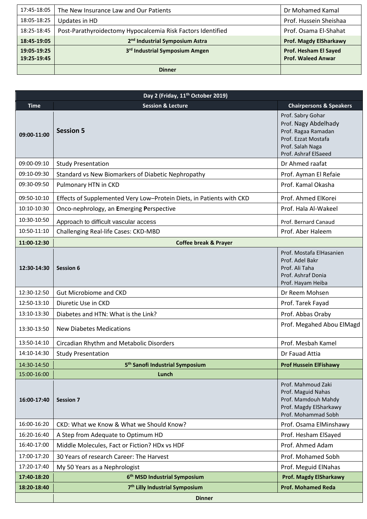| 17:45-18:05 | The New Insurance Law and Our Patients                      | Dr Mohamed Kamal              |
|-------------|-------------------------------------------------------------|-------------------------------|
| 18:05-18:25 | Updates in HD                                               | Prof. Hussein Sheishaa        |
| 18:25-18:45 | Post-Parathyroidectomy Hypocalcemia Risk Factors Identified | Prof. Osama El-Shahat         |
| 18:45-19:05 | 2 <sup>nd</sup> Industrial Symposium Astra                  | <b>Prof. Magdy ElSharkawy</b> |
|             |                                                             |                               |
| 19:05-19:25 | 3 <sup>rd</sup> Industrial Symposium Amgen                  | <b>Prof. Hesham El Sayed</b>  |
| 19:25-19:45 |                                                             | <b>Prof. Waleed Anwar</b>     |

| Day 2 (Friday, 11 <sup>th</sup> October 2019) |                                                                      |                                                                                                                                     |  |  |
|-----------------------------------------------|----------------------------------------------------------------------|-------------------------------------------------------------------------------------------------------------------------------------|--|--|
| <b>Time</b>                                   | <b>Session &amp; Lecture</b>                                         | <b>Chairpersons &amp; Speakers</b>                                                                                                  |  |  |
| 09:00-11:00                                   | <b>Session 5</b>                                                     | Prof. Sabry Gohar<br>Prof. Nagy Abdelhady<br>Prof. Ragaa Ramadan<br>Prof. Ezzat Mostafa<br>Prof. Salah Naga<br>Prof. Ashraf ElSaeed |  |  |
| 09:00-09:10                                   | <b>Study Presentation</b>                                            | Dr Ahmed raafat                                                                                                                     |  |  |
| 09:10-09:30                                   | Standard vs New Biomarkers of Diabetic Nephropathy                   | Prof. Ayman El Refaie                                                                                                               |  |  |
| 09:30-09:50                                   | Pulmonary HTN in CKD                                                 | Prof. Kamal Okasha                                                                                                                  |  |  |
| 09:50-10:10                                   | Effects of Supplemented Very Low-Protein Diets, in Patients with CKD | Prof. Ahmed ElKorei                                                                                                                 |  |  |
| 10:10-10:30                                   | Onco-nephrology, an Emerging Perspective                             | Prof. Hala Al-Wakeel                                                                                                                |  |  |
| 10:30-10:50                                   | Approach to difficult vascular access                                | Prof. Bernard Canaud                                                                                                                |  |  |
| 10:50-11:10                                   | Challenging Real-life Cases: CKD-MBD                                 | Prof. Aber Haleem                                                                                                                   |  |  |
| 11:00-12:30                                   | <b>Coffee break &amp; Prayer</b>                                     |                                                                                                                                     |  |  |
| 12:30-14:30                                   | <b>Session 6</b>                                                     | Prof. Mostafa ElHasanien<br>Prof. Adel Bakr<br>Prof. Ali Taha<br>Prof. Ashraf Donia<br>Prof. Hayam Heiba                            |  |  |
| 12:30-12:50                                   | <b>Gut Microbiome and CKD</b>                                        | Dr Reem Mohsen                                                                                                                      |  |  |
| 12:50-13:10                                   | Diuretic Use in CKD                                                  | Prof. Tarek Fayad                                                                                                                   |  |  |
| 13:10-13:30                                   | Diabetes and HTN: What is the Link?                                  | Prof. Abbas Oraby                                                                                                                   |  |  |
| 13:30-13:50                                   | <b>New Diabetes Medications</b>                                      | Prof. Megahed Abou ElMagd                                                                                                           |  |  |
| 13:50-14:10                                   | Circadian Rhythm and Metabolic Disorders                             | Prof. Mesbah Kamel                                                                                                                  |  |  |
| 14:10-14:30                                   | <b>Study Presentation</b>                                            | Dr Fauad Attia                                                                                                                      |  |  |
| 14:30-14:50                                   | 5 <sup>th</sup> Sanofi Industrial Symposium                          | <b>Prof Hussein ElFishawy</b>                                                                                                       |  |  |
| 15:00-16:00                                   | Lunch                                                                |                                                                                                                                     |  |  |
| 16:00-17:40                                   | <b>Session 7</b>                                                     | Prof. Mahmoud Zaki<br>Prof. Maguid Nahas<br>Prof. Mamdouh Mahdy<br>Prof. Magdy ElSharkawy<br>Prof. Mohammad Sobh                    |  |  |
| 16:00-16:20                                   | CKD: What we Know & What we Should Know?                             | Prof. Osama ElMinshawy                                                                                                              |  |  |
| 16:20-16:40                                   | A Step from Adequate to Optimum HD                                   | Prof. Hesham ElSayed                                                                                                                |  |  |
| 16:40-17:00                                   | Middle Molecules, Fact or Fiction? HDx vs HDF                        | Prof. Ahmed Adam                                                                                                                    |  |  |
| 17:00-17:20                                   | 30 Years of research Career: The Harvest                             | Prof. Mohamed Sobh                                                                                                                  |  |  |
| 17:20-17:40                                   | My 50 Years as a Nephrologist                                        | Prof. Meguid ElNahas                                                                                                                |  |  |
| 17:40-18:20                                   | 6 <sup>th</sup> MSD Industrial Symposium                             | <b>Prof. Magdy ElSharkawy</b>                                                                                                       |  |  |
| 18:20-18:40                                   | 7 <sup>th</sup> Lilly Industrial Symposium                           | <b>Prof. Mohamed Reda</b>                                                                                                           |  |  |
|                                               | <b>Dinner</b>                                                        |                                                                                                                                     |  |  |